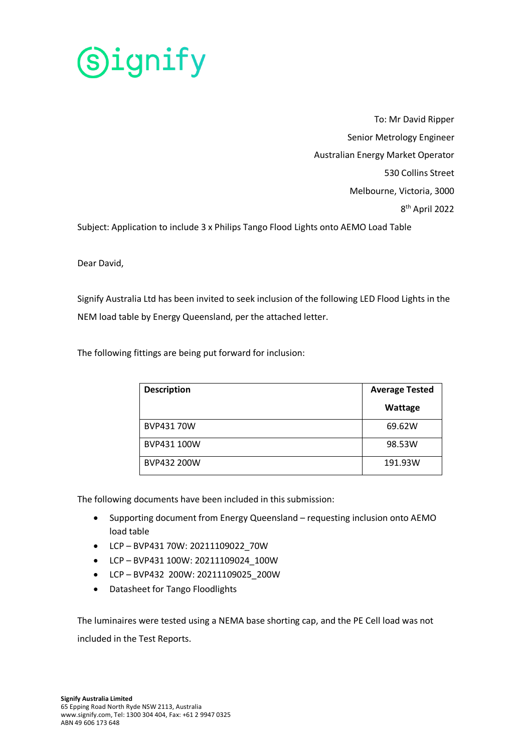

To: Mr David Ripper Senior Metrology Engineer Australian Energy Market Operator 530 Collins Street Melbourne, Victoria, 3000 8th April 2022

Subject: Application to include 3 x Philips Tango Flood Lights onto AEMO Load Table

Dear David,

Signify Australia Ltd has been invited to seek inclusion of the following LED Flood Lights in the NEM load table by Energy Queensland, per the attached letter.

The following fittings are being put forward for inclusion:

| <b>Description</b> | <b>Average Tested</b> |
|--------------------|-----------------------|
|                    | Wattage               |
| BVP43170W          | 69.62W                |
| BVP431 100W        | 98.53W                |
| BVP432 200W        | 191.93W               |

The following documents have been included in this submission:

- Supporting document from Energy Queensland requesting inclusion onto AEMO load table
- LCP BVP431 70W: 20211109022\_70W
- LCP BVP431 100W: 20211109024\_100W
- LCP BVP432 200W: 20211109025\_200W
- Datasheet for Tango Floodlights

The luminaires were tested using a NEMA base shorting cap, and the PE Cell load was not included in the Test Reports.